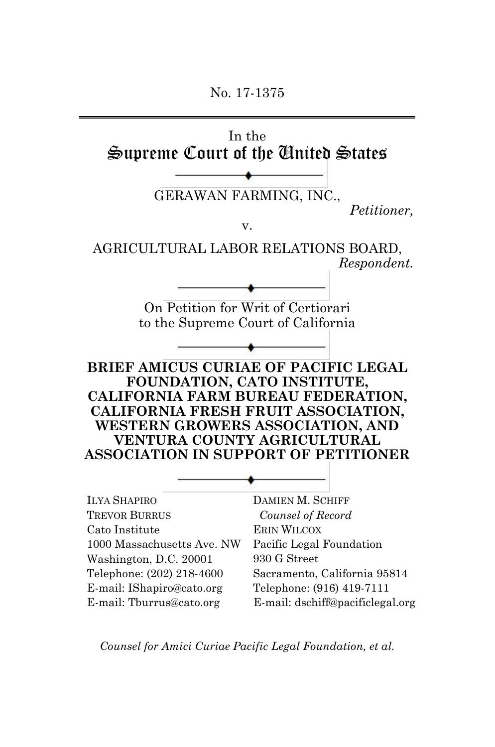No. 17-1375

In the Supreme Court of the United States

GERAWAN FARMING, INC.,

*Petitioner,*

v.

AGRICULTURAL LABOR RELATIONS BOARD, *Respondent.* 

> On Petition for Writ of Certiorari to the Supreme Court of California

**BRIEF AMICUS CURIAE OF PACIFIC LEGAL FOUNDATION, CATO INSTITUTE, CALIFORNIA FARM BUREAU FEDERATION, CALIFORNIA FRESH FRUIT ASSOCIATION, WESTERN GROWERS ASSOCIATION, AND VENTURA COUNTY AGRICULTURAL ASSOCIATION IN SUPPORT OF PETITIONER**

ILYA SHAPIRO TREVOR BURRUS Cato Institute 1000 Massachusetts Ave. NW Washington, D.C. 20001 Telephone: (202) 218-4600 E-mail: IShapiro@cato.org E-mail: Tburrus@cato.org

DAMIEN M. SCHIFF *Counsel of Record* ERIN WILCOX Pacific Legal Foundation 930 G Street Sacramento, California 95814 Telephone: (916) 419-7111 E-mail: dschiff@pacificlegal.org

*Counsel for Amici Curiae Pacific Legal Foundation, et al.*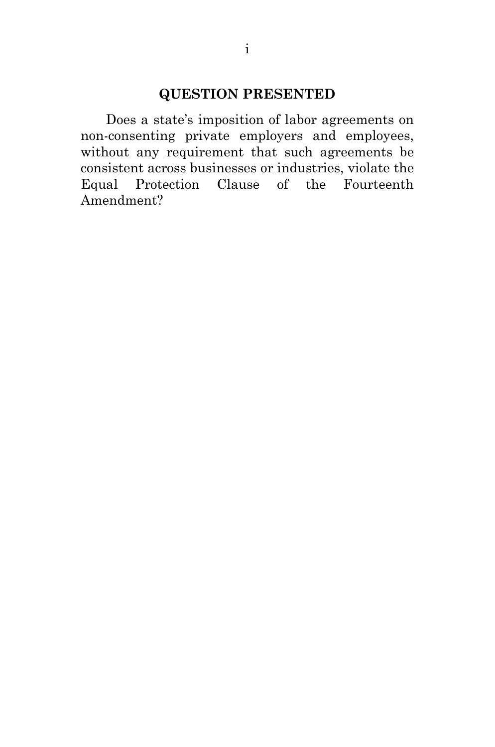### **QUESTION PRESENTED**

Does a state's imposition of labor agreements on non-consenting private employers and employees, without any requirement that such agreements be consistent across businesses or industries, violate the Equal Protection Clause of the Fourteenth Amendment?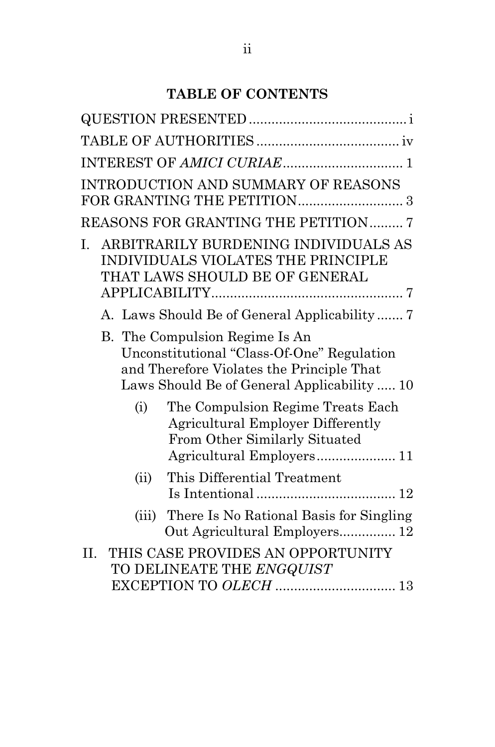# **TABLE OF CONTENTS**

| INTEREST OF AMICI CURIAE 1                                                                                                                                               |
|--------------------------------------------------------------------------------------------------------------------------------------------------------------------------|
| INTRODUCTION AND SUMMARY OF REASONS                                                                                                                                      |
| <b>REASONS FOR GRANTING THE PETITION 7</b>                                                                                                                               |
| ARBITRARILY BURDENING INDIVIDUALS AS<br>Ι.<br>INDIVIDUALS VIOLATES THE PRINCIPLE<br>THAT LAWS SHOULD BE OF GENERAL                                                       |
| A. Laws Should Be of General Applicability                                                                                                                               |
| B. The Compulsion Regime Is An<br>Unconstitutional "Class-Of-One" Regulation<br>and Therefore Violates the Principle That<br>Laws Should Be of General Applicability  10 |
| The Compulsion Regime Treats Each<br>(i)<br><b>Agricultural Employer Differently</b><br>From Other Similarly Situated                                                    |
| This Differential Treatment<br>(ii)                                                                                                                                      |
| There Is No Rational Basis for Singling<br>(iii)<br>Out Agricultural Employers 12                                                                                        |
| THIS CASE PROVIDES AN OPPORTUNITY<br>II.<br>TO DELINEATE THE ENGQUIST<br>EXCEPTION TO OLECH  13                                                                          |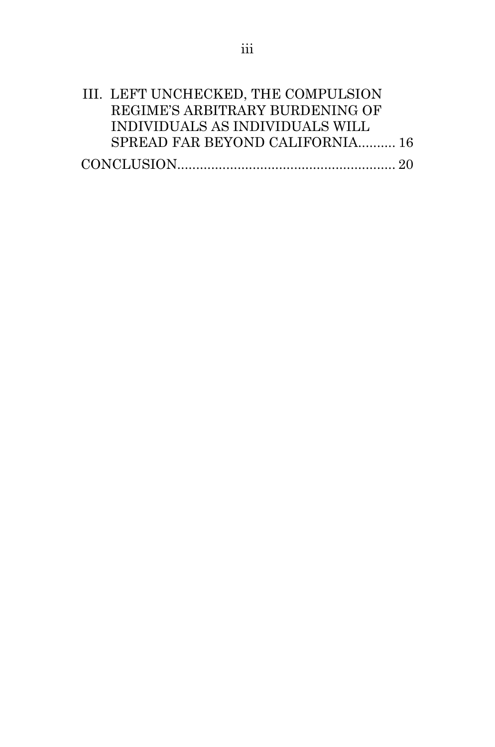| III. LEFT UNCHECKED, THE COMPULSION |  |
|-------------------------------------|--|
| REGIME'S ARBITRARY BURDENING OF     |  |
| INDIVIDUALS AS INDIVIDUALS WILL     |  |
| SPREAD FAR BEYOND CALIFORNIA 16     |  |
|                                     |  |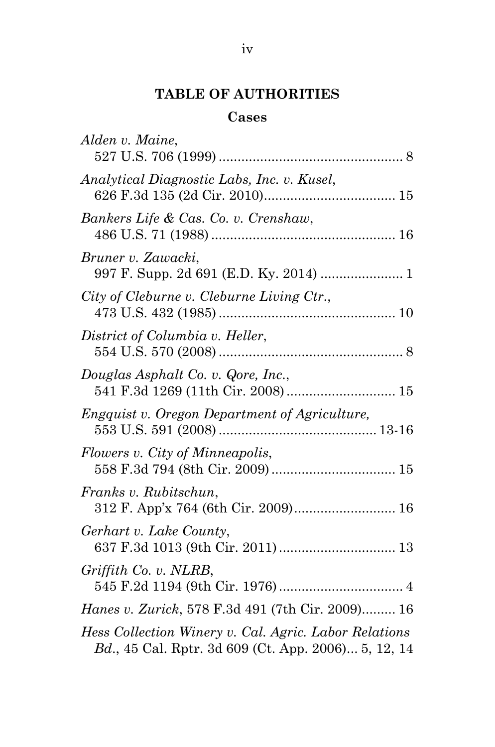# **TABLE OF AUTHORITIES**

# **Cases**

| Alden v. Maine,                                                                                              |
|--------------------------------------------------------------------------------------------------------------|
| Analytical Diagnostic Labs, Inc. v. Kusel,                                                                   |
| Bankers Life & Cas. Co. v. Crenshaw,                                                                         |
| Bruner v. Zawacki,<br>997 F. Supp. 2d 691 (E.D. Ky. 2014)  1                                                 |
| City of Cleburne v. Cleburne Living Ctr.,                                                                    |
| District of Columbia v. Heller,                                                                              |
| Douglas Asphalt Co. v. Qore, Inc.,<br>541 F.3d 1269 (11th Cir. 2008) 15                                      |
| Engquist v. Oregon Department of Agriculture,                                                                |
| Flowers v. City of Minneapolis,                                                                              |
| Franks v. Rubitschun,<br>312 F. App'x 764 (6th Cir. 2009) 16                                                 |
| Gerhart v. Lake County,<br>637 F.3d 1013 (9th Cir. 2011)  13                                                 |
| Griffith Co. v. NLRB,                                                                                        |
| Hanes v. Zurick, 578 F.3d 491 (7th Cir. 2009) 16                                                             |
| Hess Collection Winery v. Cal. Agric. Labor Relations<br>Bd., 45 Cal. Rptr. 3d 609 (Ct. App. 2006) 5, 12, 14 |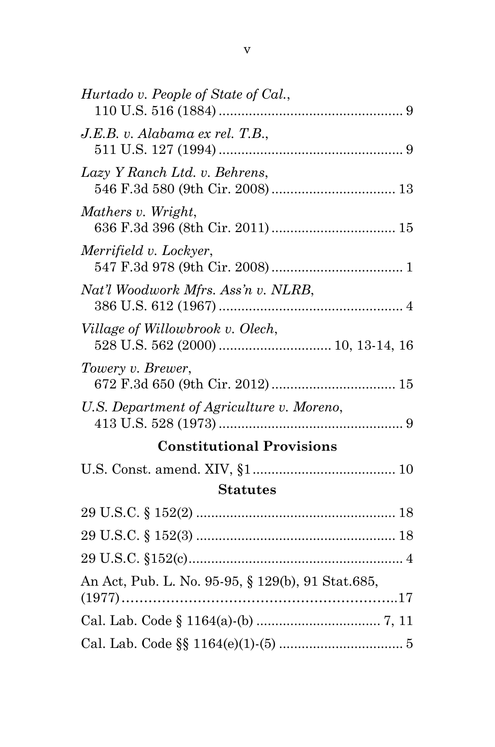| Hurtado v. People of State of Cal.,               |  |  |
|---------------------------------------------------|--|--|
| J.E.B. v. Alabama ex rel. T.B.,                   |  |  |
| Lazy Y Ranch Ltd. v. Behrens,                     |  |  |
| Mathers v. Wright,                                |  |  |
| Merrifield v. Lockyer,                            |  |  |
| Nat'l Woodwork Mfrs. Ass'n v. NLRB,               |  |  |
| Village of Willowbrook v. Olech,                  |  |  |
| Towery v. Brewer,                                 |  |  |
| U.S. Department of Agriculture v. Moreno,         |  |  |
| <b>Constitutional Provisions</b>                  |  |  |
|                                                   |  |  |
| <b>Statutes</b>                                   |  |  |
|                                                   |  |  |
|                                                   |  |  |
|                                                   |  |  |
| An Act, Pub. L. No. 95-95, § 129(b), 91 Stat.685, |  |  |
|                                                   |  |  |
|                                                   |  |  |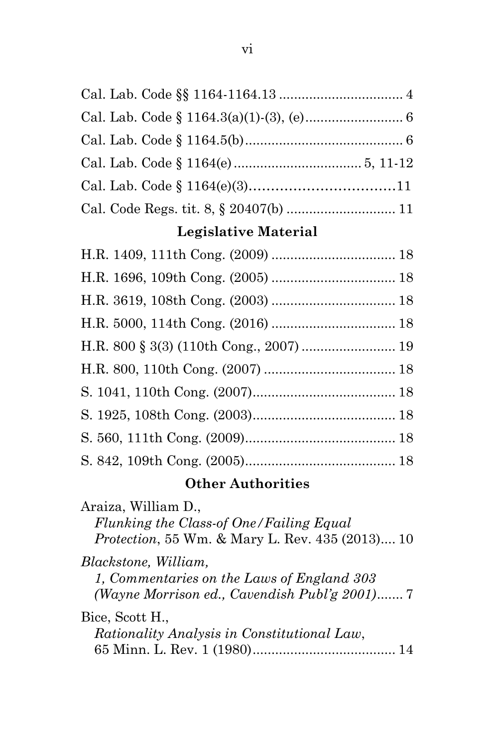### **Legislative Material**

## **Other Authorities**

Araiza, William D., *Flunking the Class-of One/Failing Equal Protection*, 55 Wm. & Mary L. Rev. 435 (2013).... 10 *Blackstone, William, 1, Commentaries on the Laws of England 303 (Wayne Morrison ed., Cavendish Publ'g 2001)*....... 7 Bice, Scott H., *Rationality Analysis in Constitutional Law*, 65 Minn. L. Rev. 1 (1980)...................................... 14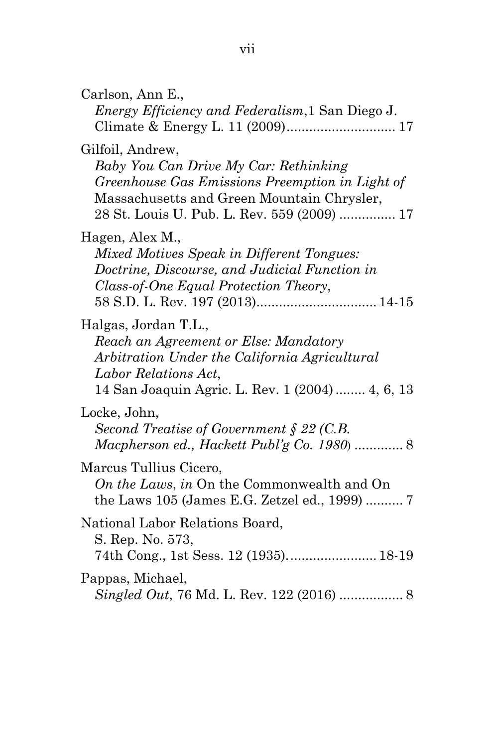| Carlson, Ann E.,<br><i>Energy Efficiency and Federalism, 1 San Diego J.</i>                                                                                                                               |
|-----------------------------------------------------------------------------------------------------------------------------------------------------------------------------------------------------------|
| Gilfoil, Andrew,<br>Baby You Can Drive My Car: Rethinking<br>Greenhouse Gas Emissions Preemption in Light of<br>Massachusetts and Green Mountain Chrysler,<br>28 St. Louis U. Pub. L. Rev. 559 (2009)  17 |
| Hagen, Alex M.,<br>Mixed Motives Speak in Different Tongues:<br>Doctrine, Discourse, and Judicial Function in<br>Class-of-One Equal Protection Theory,                                                    |
| Halgas, Jordan T.L.,<br>Reach an Agreement or Else: Mandatory<br>Arbitration Under the California Agricultural<br>Labor Relations Act,<br>14 San Joaquin Agric. L. Rev. 1 (2004) 4, 6, 13                 |
| Locke, John,<br>Second Treatise of Government $\S 22$ (C.B.<br>Macpherson ed., Hackett Publ'g Co. 1980  8                                                                                                 |
| Marcus Tullius Cicero,<br>On the Laws, in On the Commonwealth and On<br>the Laws 105 (James E.G. Zetzel ed., 1999)  7                                                                                     |
| National Labor Relations Board,<br>S. Rep. No. 573,<br>74th Cong., 1st Sess. 12 (1935) 18-19                                                                                                              |
| Pappas, Michael,                                                                                                                                                                                          |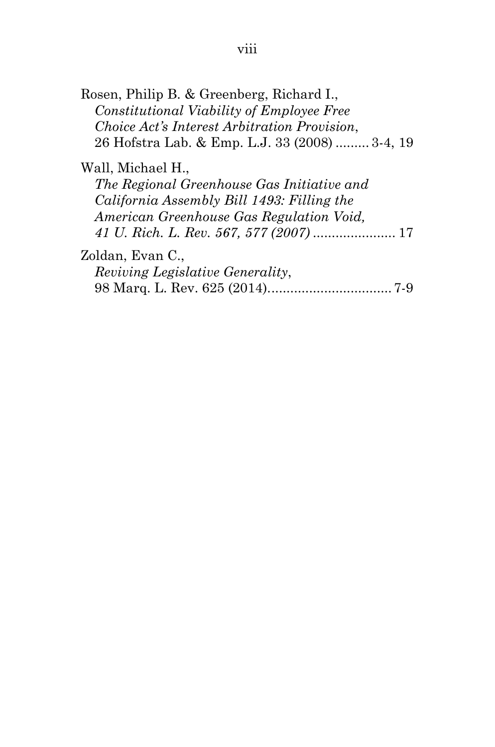| Rosen, Philip B. & Greenberg, Richard I.,      |  |
|------------------------------------------------|--|
| Constitutional Viability of Employee Free      |  |
| Choice Act's Interest Arbitration Provision,   |  |
| 26 Hofstra Lab. & Emp. L.J. 33 (2008)  3-4, 19 |  |
| Wall, Michael H.,                              |  |

*The Regional Greenhouse Gas Initiative and California Assembly Bill 1493: Filling the American Greenhouse Gas Regulation Void, 41 U. Rich. L. Rev. 567, 577 (2007)* ...................... 17

Zoldan, Evan C.,

| <i>Reviving Legislative Generality,</i> |  |
|-----------------------------------------|--|
|                                         |  |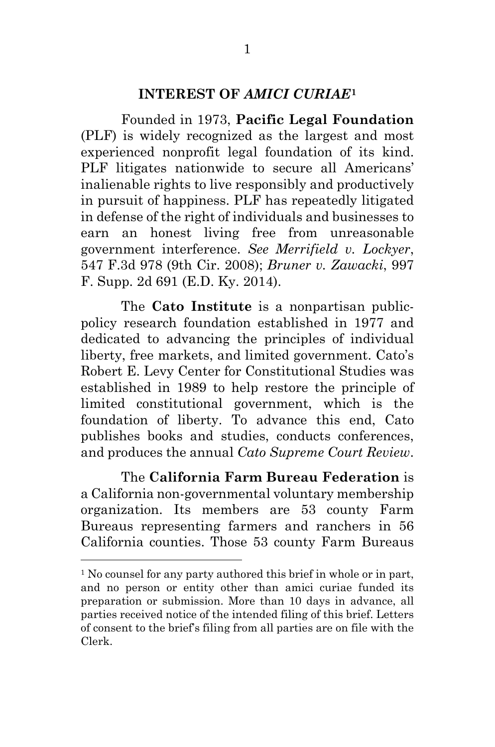### **INTEREST OF** *AMICI CURIAE***[1](#page-9-0)**

Founded in 1973, **Pacific Legal Foundation** (PLF) is widely recognized as the largest and most experienced nonprofit legal foundation of its kind. PLF litigates nationwide to secure all Americans' inalienable rights to live responsibly and productively in pursuit of happiness. PLF has repeatedly litigated in defense of the right of individuals and businesses to earn an honest living free from unreasonable government interference. *See Merrifield v. Lockyer*, 547 F.3d 978 (9th Cir. 2008); *Bruner v. Zawacki*, 997 F. Supp. 2d 691 (E.D. Ky. 2014).

The **Cato Institute** is a nonpartisan publicpolicy research foundation established in 1977 and dedicated to advancing the principles of individual liberty, free markets, and limited government. Cato's Robert E. Levy Center for Constitutional Studies was established in 1989 to help restore the principle of limited constitutional government, which is the foundation of liberty. To advance this end, Cato publishes books and studies, conducts conferences, and produces the annual *Cato Supreme Court Review*.

The **California Farm Bureau Federation** is a California non-governmental voluntary membership organization. Its members are 53 county Farm Bureaus representing farmers and ranchers in 56 California counties. Those 53 county Farm Bureaus

 $\overline{a}$ 

<span id="page-9-0"></span><sup>&</sup>lt;sup>1</sup> No counsel for any party authored this brief in whole or in part, and no person or entity other than amici curiae funded its preparation or submission. More than 10 days in advance, all parties received notice of the intended filing of this brief. Letters of consent to the brief's filing from all parties are on file with the Clerk.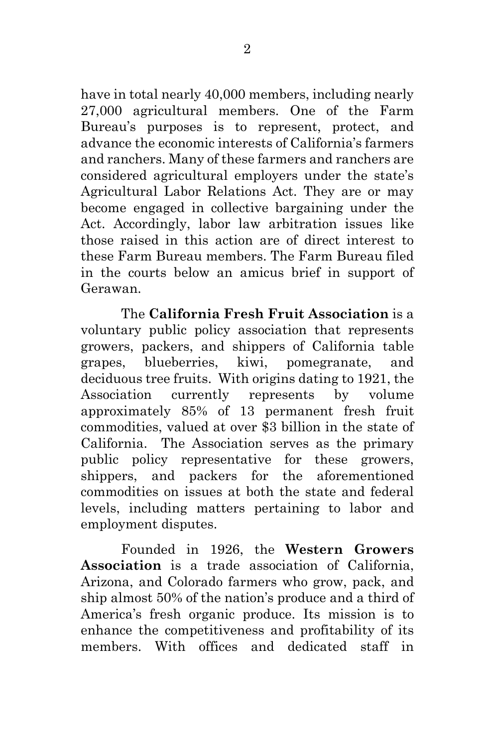have in total nearly 40,000 members, including nearly 27,000 agricultural members. One of the Farm Bureau's purposes is to represent, protect, and advance the economic interests of California's farmers and ranchers. Many of these farmers and ranchers are considered agricultural employers under the state's Agricultural Labor Relations Act. They are or may become engaged in collective bargaining under the Act. Accordingly, labor law arbitration issues like those raised in this action are of direct interest to these Farm Bureau members. The Farm Bureau filed in the courts below an amicus brief in support of Gerawan.

The **California Fresh Fruit Association** is a voluntary public policy association that represents growers, packers, and shippers of California table grapes, blueberries, kiwi, pomegranate, and deciduous tree fruits. With origins dating to 1921, the Association currently represents by volume approximately 85% of 13 permanent fresh fruit commodities, valued at over \$3 billion in the state of California. The Association serves as the primary public policy representative for these growers, shippers, and packers for the aforementioned commodities on issues at both the state and federal levels, including matters pertaining to labor and employment disputes.

Founded in 1926, the **Western Growers Association** is a trade association of California, Arizona, and Colorado farmers who grow, pack, and ship almost 50% of the nation's produce and a third of America's fresh organic produce. Its mission is to enhance the competitiveness and profitability of its members. With offices and dedicated staff in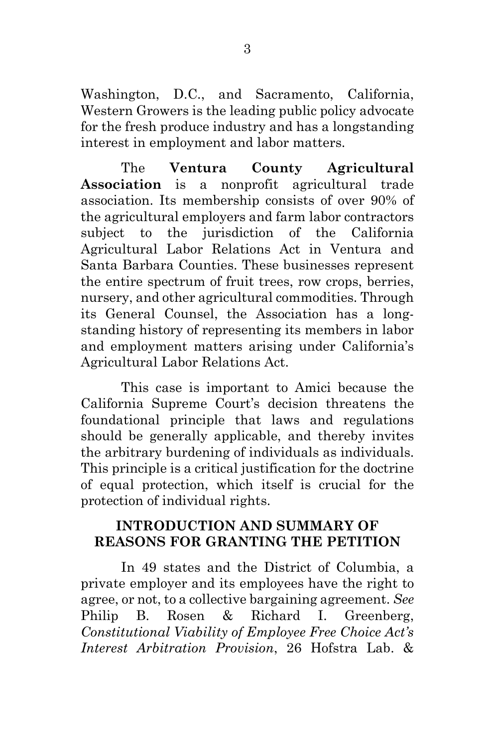Washington, D.C., and Sacramento, California, Western Growers is the leading public policy advocate for the fresh produce industry and has a longstanding interest in employment and labor matters.

The **Ventura County Agricultural Association** is a nonprofit agricultural trade association. Its membership consists of over 90% of the agricultural employers and farm labor contractors subject to the jurisdiction of the California Agricultural Labor Relations Act in Ventura and Santa Barbara Counties. These businesses represent the entire spectrum of fruit trees, row crops, berries, nursery, and other agricultural commodities. Through its General Counsel, the Association has a longstanding history of representing its members in labor and employment matters arising under California's Agricultural Labor Relations Act.

This case is important to Amici because the California Supreme Court's decision threatens the foundational principle that laws and regulations should be generally applicable, and thereby invites the arbitrary burdening of individuals as individuals. This principle is a critical justification for the doctrine of equal protection, which itself is crucial for the protection of individual rights.

### **INTRODUCTION AND SUMMARY OF REASONS FOR GRANTING THE PETITION**

In 49 states and the District of Columbia, a private employer and its employees have the right to agree, or not, to a collective bargaining agreement. *See* Philip B. Rosen & Richard I. Greenberg, *Constitutional Viability of Employee Free Choice Act's Interest Arbitration Provision*, 26 Hofstra Lab. &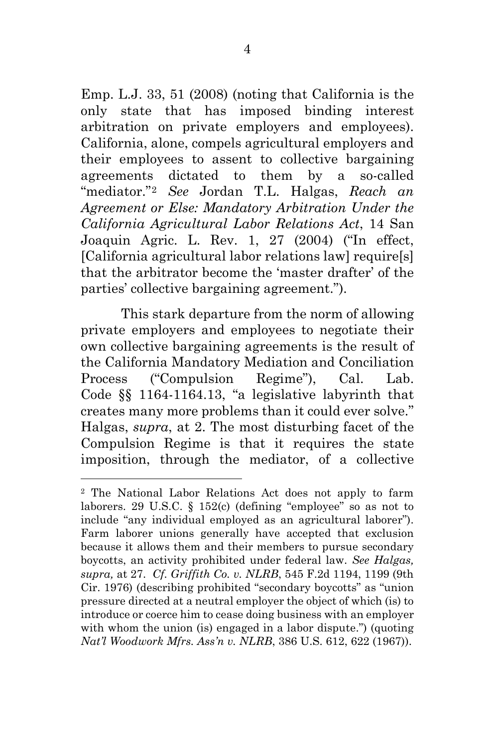Emp. L.J. 33, 51 (2008) (noting that California is the only state that has imposed binding interest arbitration on private employers and employees). California, alone, compels agricultural employers and their employees to assent to collective bargaining agreements dictated to them by a so-called "mediator."[2](#page-12-0) *See* Jordan T.L. Halgas, *Reach an Agreement or Else: Mandatory Arbitration Under the California Agricultural Labor Relations Act*, 14 San Joaquin Agric. L. Rev. 1, 27 (2004) ("In effect, [California agricultural labor relations law] require[s] that the arbitrator become the 'master drafter' of the parties' collective bargaining agreement.").

This stark departure from the norm of allowing private employers and employees to negotiate their own collective bargaining agreements is the result of the California Mandatory Mediation and Conciliation Process ("Compulsion Regime"), Cal. Lab. Code §§ 1164-1164.13, "a legislative labyrinth that creates many more problems than it could ever solve." Halgas, *supra*, at 2. The most disturbing facet of the Compulsion Regime is that it requires the state imposition, through the mediator, of a collective

l

<span id="page-12-0"></span><sup>2</sup> The National Labor Relations Act does not apply to farm laborers. 29 U.S.C. § 152(c) (defining "employee" so as not to include "any individual employed as an agricultural laborer"). Farm laborer unions generally have accepted that exclusion because it allows them and their members to pursue secondary boycotts, an activity prohibited under federal law. *See Halgas, supra,* at 27. *Cf. Griffith Co. v. NLRB*, 545 F.2d 1194, 1199 (9th Cir. 1976) (describing prohibited "secondary boycotts" as "union pressure directed at a neutral employer the object of which (is) to introduce or coerce him to cease doing business with an employer with whom the union (is) engaged in a labor dispute.") (quoting *Nat'l Woodwork Mfrs. Ass'n v. NLRB*, 386 U.S. 612, 622 (1967)).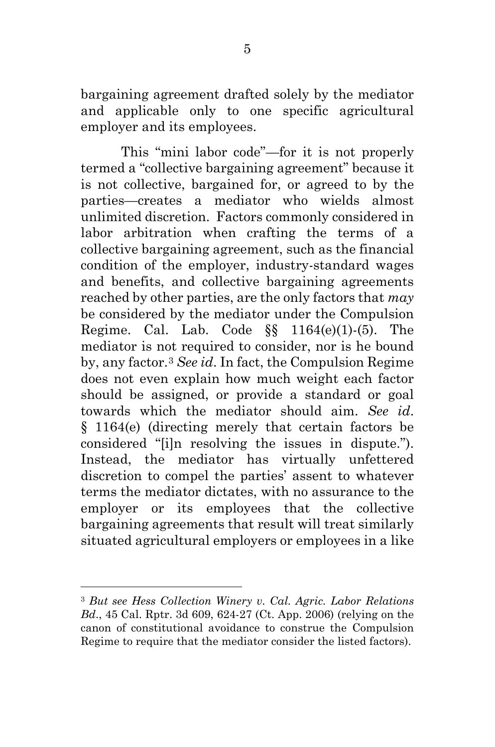bargaining agreement drafted solely by the mediator and applicable only to one specific agricultural employer and its employees.

This "mini labor code"—for it is not properly termed a "collective bargaining agreement" because it is not collective, bargained for, or agreed to by the parties—creates a mediator who wields almost unlimited discretion. Factors commonly considered in labor arbitration when crafting the terms of a collective bargaining agreement, such as the financial condition of the employer, industry-standard wages and benefits, and collective bargaining agreements reached by other parties, are the only factors that *may* be considered by the mediator under the Compulsion Regime. Cal. Lab. Code  $\S$  1164(e)(1)-(5). The mediator is not required to consider, nor is he bound by, any factor.[3](#page-13-0) *See id*. In fact, the Compulsion Regime does not even explain how much weight each factor should be assigned, or provide a standard or goal towards which the mediator should aim. *See id*. § 1164(e) (directing merely that certain factors be considered "[i]n resolving the issues in dispute."). Instead, the mediator has virtually unfettered discretion to compel the parties' assent to whatever terms the mediator dictates, with no assurance to the employer or its employees that the collective bargaining agreements that result will treat similarly situated agricultural employers or employees in a like

 $\overline{a}$ 

<span id="page-13-0"></span><sup>3</sup> *But see Hess Collection Winery v. Cal. Agric. Labor Relations Bd*., 45 Cal. Rptr. 3d 609, 624-27 (Ct. App. 2006) (relying on the canon of constitutional avoidance to construe the Compulsion Regime to require that the mediator consider the listed factors).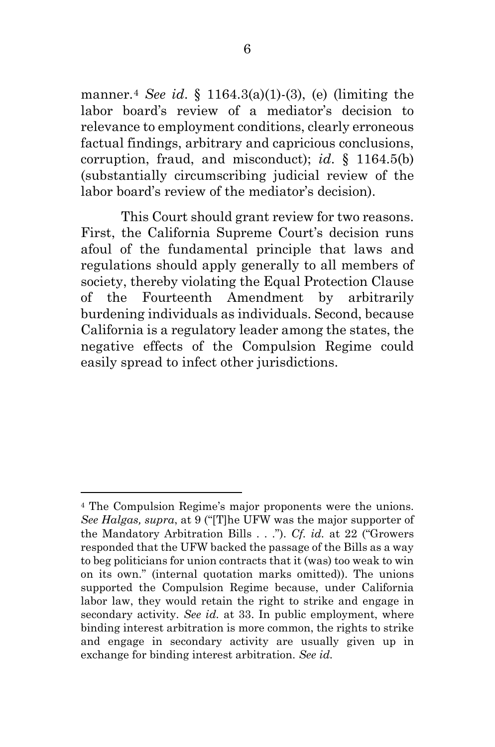manner.[4](#page-14-0) *See id*. § 1164.3(a)(1)-(3), (e) (limiting the labor board's review of a mediator's decision to relevance to employment conditions, clearly erroneous factual findings, arbitrary and capricious conclusions, corruption, fraud, and misconduct); *id*. § 1164.5(b) (substantially circumscribing judicial review of the labor board's review of the mediator's decision).

This Court should grant review for two reasons. First, the California Supreme Court's decision runs afoul of the fundamental principle that laws and regulations should apply generally to all members of society, thereby violating the Equal Protection Clause of the Fourteenth Amendment by arbitrarily burdening individuals as individuals. Second, because California is a regulatory leader among the states, the negative effects of the Compulsion Regime could easily spread to infect other jurisdictions.

 $\overline{a}$ 

<span id="page-14-0"></span><sup>4</sup> The Compulsion Regime's major proponents were the unions. *See Halgas, supra*, at 9 ("[T]he UFW was the major supporter of the Mandatory Arbitration Bills . . ."). *Cf. id.* at 22 ("Growers responded that the UFW backed the passage of the Bills as a way to beg politicians for union contracts that it (was) too weak to win on its own." (internal quotation marks omitted)). The unions supported the Compulsion Regime because, under California labor law, they would retain the right to strike and engage in secondary activity. *See id.* at 33. In public employment, where binding interest arbitration is more common, the rights to strike and engage in secondary activity are usually given up in exchange for binding interest arbitration. *See id.*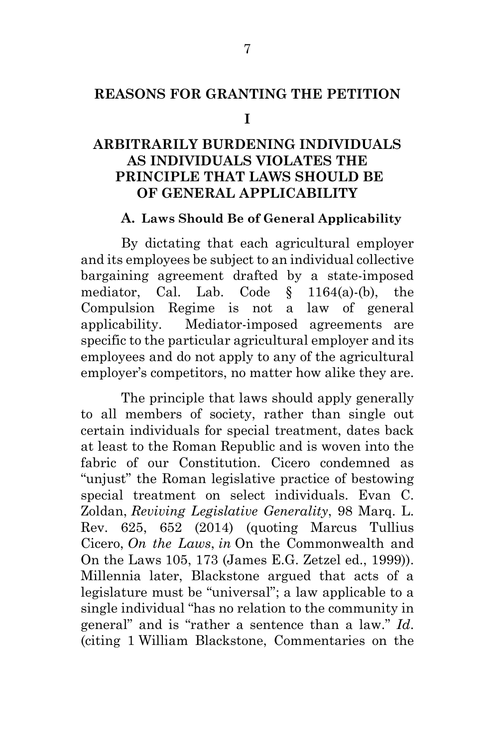### **REASONS FOR GRANTING THE PETITION**

#### **I**

## **ARBITRARILY BURDENING INDIVIDUALS AS INDIVIDUALS VIOLATES THE PRINCIPLE THAT LAWS SHOULD BE OF GENERAL APPLICABILITY**

#### **A. Laws Should Be of General Applicability**

By dictating that each agricultural employer and its employees be subject to an individual collective bargaining agreement drafted by a state-imposed mediator, Cal. Lab. Code § 1164(a)-(b), the Compulsion Regime is not a law of general applicability. Mediator-imposed agreements are specific to the particular agricultural employer and its employees and do not apply to any of the agricultural employer's competitors, no matter how alike they are.

The principle that laws should apply generally to all members of society, rather than single out certain individuals for special treatment, dates back at least to the Roman Republic and is woven into the fabric of our Constitution. Cicero condemned as "unjust" the Roman legislative practice of bestowing special treatment on select individuals. Evan C. Zoldan, *Reviving Legislative Generality*, 98 Marq. L. Rev. 625, 652 (2014) (quoting Marcus Tullius Cicero, *On the Laws*, *in* On the Commonwealth and On the Laws 105, 173 (James E.G. Zetzel ed., 1999)). Millennia later, Blackstone argued that acts of a legislature must be "universal"; a law applicable to a single individual "has no relation to the community in general" and is "rather a sentence than a law." *Id*. (citing 1 William Blackstone, Commentaries on the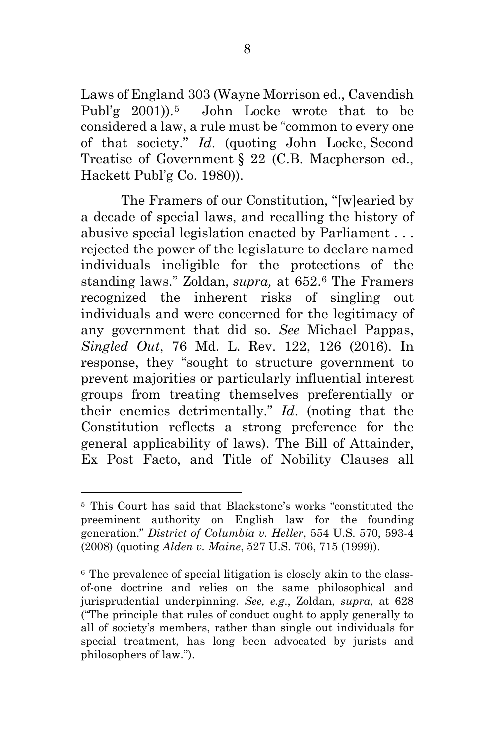Laws of England 303 (Wayne Morrison ed., Cavendish Publ'g 2001)).[5](#page-16-0) John Locke wrote that to be considered a law, a rule must be "common to every one of that society." *Id*. (quoting John Locke, Second Treatise of Government § 22 (C.B. Macpherson ed., Hackett Publ'g Co. 1980)).

The Framers of our Constitution, "[w]earied by a decade of special laws, and recalling the history of abusive special legislation enacted by Parliament . . . rejected the power of the legislature to declare named individuals ineligible for the protections of the standing laws." Zoldan, *supra,* at 652.[6](#page-16-1) The Framers recognized the inherent risks of singling out individuals and were concerned for the legitimacy of any government that did so. *See* Michael Pappas, *Singled Out*, 76 Md. L. Rev. 122, 126 (2016). In response, they "sought to structure government to prevent majorities or particularly influential interest groups from treating themselves preferentially or their enemies detrimentally." *Id*. (noting that the Constitution reflects a strong preference for the general applicability of laws). The Bill of Attainder, Ex Post Facto, and Title of Nobility Clauses all

 $\overline{a}$ 

<span id="page-16-0"></span><sup>5</sup> This Court has said that Blackstone's works "constituted the preeminent authority on English law for the founding generation." *District of Columbia v. Heller*, 554 U.S. 570, 593-4 (2008) (quoting *Alden v. Maine*, 527 U.S. 706, 715 (1999)).

<span id="page-16-1"></span><sup>6</sup> The prevalence of special litigation is closely akin to the classof-one doctrine and relies on the same philosophical and jurisprudential underpinning. *See, e.g*., Zoldan, *supra*, at 628 ("The principle that rules of conduct ought to apply generally to all of society's members, rather than single out individuals for special treatment, has long been advocated by jurists and philosophers of law.").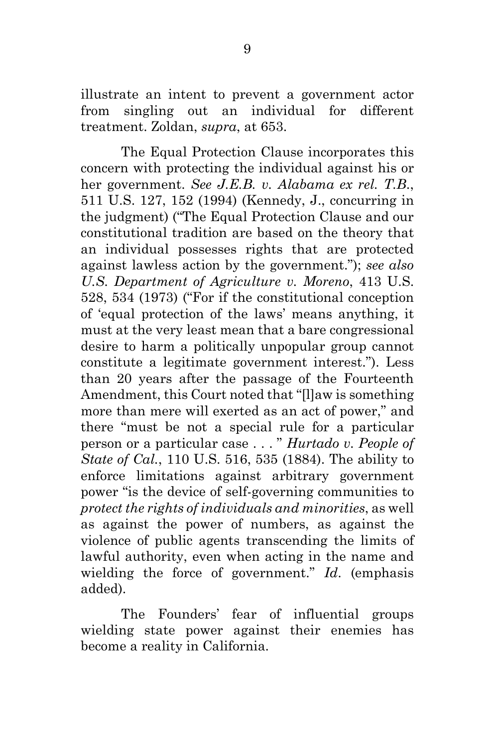illustrate an intent to prevent a government actor from singling out an individual for different treatment. Zoldan, *supra*, at 653.

The Equal Protection Clause incorporates this concern with protecting the individual against his or her government. *See J.E.B. v. Alabama ex rel. T.B*., 511 U.S. 127, 152 (1994) (Kennedy, J., concurring in the judgment) ("The Equal Protection Clause and our constitutional tradition are based on the theory that an individual possesses rights that are protected against lawless action by the government."); *see also U.S. Department of Agriculture v. Moreno*, 413 U.S. 528, 534 (1973) ("For if the constitutional conception of 'equal protection of the laws' means anything, it must at the very least mean that a bare congressional desire to harm a politically unpopular group cannot constitute a legitimate government interest."). Less than 20 years after the passage of the Fourteenth Amendment, this Court noted that "[l]aw is something more than mere will exerted as an act of power," and there "must be not a special rule for a particular person or a particular case . . . " *Hurtado v. People of State of Cal.*, 110 U.S. 516, 535 (1884). The ability to enforce limitations against arbitrary government power "is the device of self-governing communities to *protect the rights of individuals and minorities*, as well as against the power of numbers, as against the violence of public agents transcending the limits of lawful authority, even when acting in the name and wielding the force of government." *Id*. (emphasis added).

The Founders' fear of influential groups wielding state power against their enemies has become a reality in California.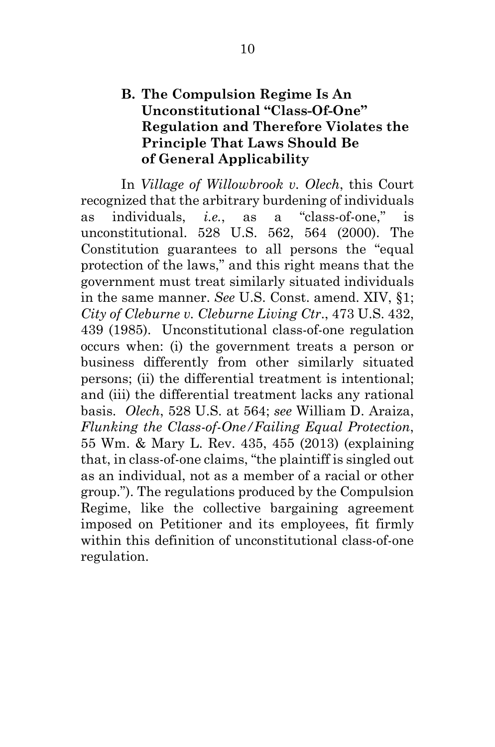### **B. The Compulsion Regime Is An Unconstitutional "Class-Of-One" Regulation and Therefore Violates the Principle That Laws Should Be of General Applicability**

In *Village of Willowbrook v. Olech*, this Court recognized that the arbitrary burdening of individuals as individuals, *i.e.*, as a "class-of-one," is unconstitutional. 528 U.S. 562, 564 (2000). The Constitution guarantees to all persons the "equal protection of the laws," and this right means that the government must treat similarly situated individuals in the same manner. *See* U.S. Const. amend. XIV, §1; *City of Cleburne v. Cleburne Living Ctr*., 473 U.S. 432, 439 (1985). Unconstitutional class-of-one regulation occurs when: (i) the government treats a person or business differently from other similarly situated persons; (ii) the differential treatment is intentional; and (iii) the differential treatment lacks any rational basis. *Olech*, 528 U.S. at 564; *see* William D. Araiza, *Flunking the Class-of-One/Failing Equal Protection*, 55 Wm. & Mary L. Rev. 435, 455 (2013) (explaining that, in class-of-one claims, "the plaintiff is singled out as an individual, not as a member of a racial or other group."). The regulations produced by the Compulsion Regime, like the collective bargaining agreement imposed on Petitioner and its employees, fit firmly within this definition of unconstitutional class-of-one regulation.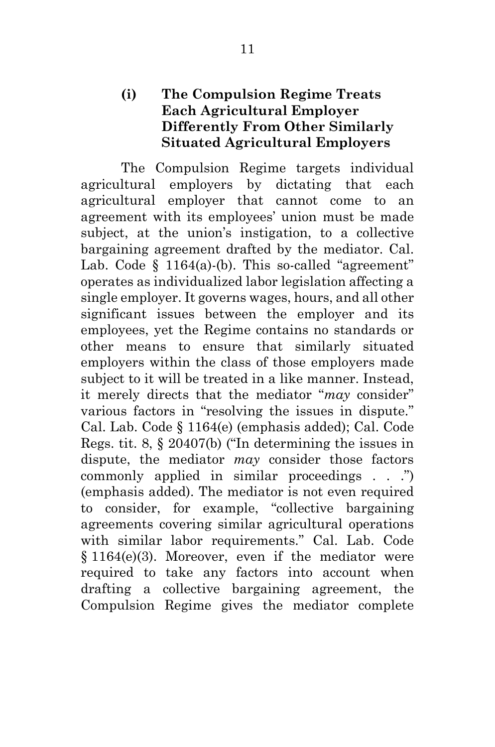### **(i) The Compulsion Regime Treats Each Agricultural Employer Differently From Other Similarly Situated Agricultural Employers**

The Compulsion Regime targets individual agricultural employers by dictating that each agricultural employer that cannot come to an agreement with its employees' union must be made subject, at the union's instigation, to a collective bargaining agreement drafted by the mediator. Cal. Lab. Code  $\S$  1164(a)-(b). This so-called "agreement" operates as individualized labor legislation affecting a single employer. It governs wages, hours, and all other significant issues between the employer and its employees, yet the Regime contains no standards or other means to ensure that similarly situated employers within the class of those employers made subject to it will be treated in a like manner. Instead, it merely directs that the mediator "*may* consider" various factors in "resolving the issues in dispute." Cal. Lab. Code § 1164(e) (emphasis added); Cal. Code Regs. tit. 8, § 20407(b) ("In determining the issues in dispute, the mediator *may* consider those factors commonly applied in similar proceedings . . .") (emphasis added). The mediator is not even required to consider, for example, "collective bargaining agreements covering similar agricultural operations with similar labor requirements." Cal. Lab. Code § 1164(e)(3). Moreover, even if the mediator were required to take any factors into account when drafting a collective bargaining agreement, the Compulsion Regime gives the mediator complete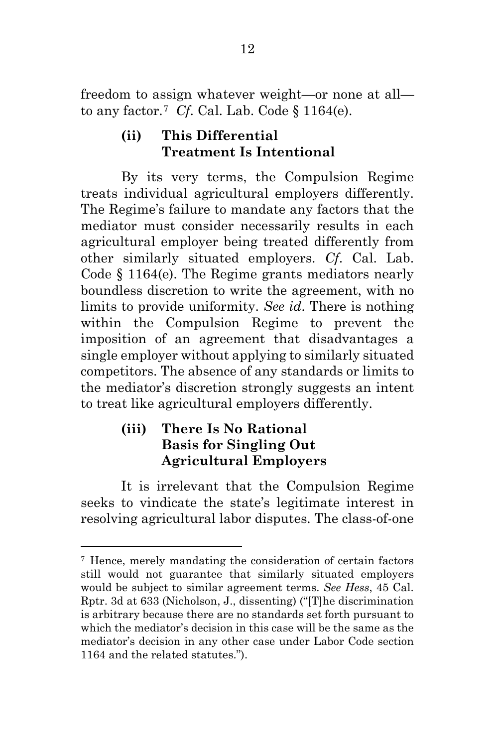freedom to assign whatever weight—or none at all— to any factor.<sup>[7](#page-20-0)</sup> *Cf.* Cal. Lab. Code  $\S$  1164(e).

## **(ii) This Differential Treatment Is Intentional**

By its very terms, the Compulsion Regime treats individual agricultural employers differently. The Regime's failure to mandate any factors that the mediator must consider necessarily results in each agricultural employer being treated differently from other similarly situated employers. *Cf*. Cal. Lab. Code § 1164(e). The Regime grants mediators nearly boundless discretion to write the agreement, with no limits to provide uniformity. *See id*. There is nothing within the Compulsion Regime to prevent the imposition of an agreement that disadvantages a single employer without applying to similarly situated competitors. The absence of any standards or limits to the mediator's discretion strongly suggests an intent to treat like agricultural employers differently.

## **(iii) There Is No Rational Basis for Singling Out Agricultural Employers**

 $\overline{a}$ 

It is irrelevant that the Compulsion Regime seeks to vindicate the state's legitimate interest in resolving agricultural labor disputes. The class-of-one

<span id="page-20-0"></span><sup>7</sup> Hence, merely mandating the consideration of certain factors still would not guarantee that similarly situated employers would be subject to similar agreement terms. *See Hess*, 45 Cal. Rptr. 3d at 633 (Nicholson, J., dissenting) ("[T]he discrimination is arbitrary because there are no standards set forth pursuant to which the mediator's decision in this case will be the same as the mediator's decision in any other case under Labor Code section 1164 and the related statutes.").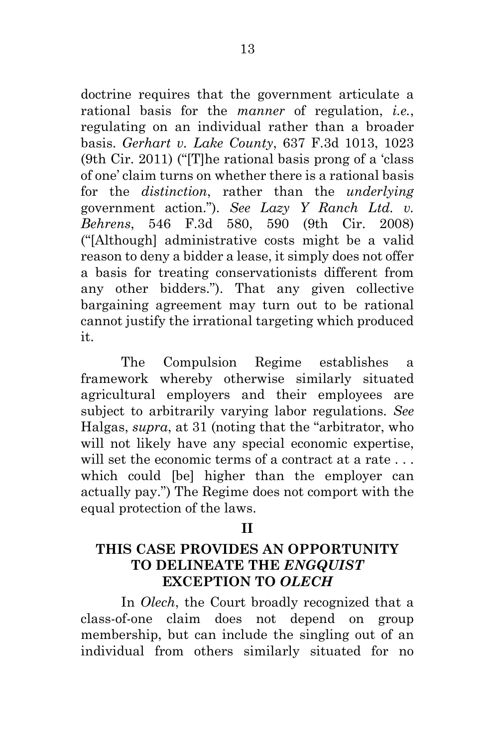doctrine requires that the government articulate a rational basis for the *manner* of regulation, *i.e.*, regulating on an individual rather than a broader basis. *Gerhart v. Lake County*, 637 F.3d 1013, 1023 (9th Cir. 2011) ("[T]he rational basis prong of a 'class of one' claim turns on whether there is a rational basis for the *distinction*, rather than the *underlying* government action."). *See Lazy Y Ranch Ltd. v. Behrens*, 546 F.3d 580, 590 (9th Cir. 2008) ("[Although] administrative costs might be a valid reason to deny a bidder a lease, it simply does not offer a basis for treating conservationists different from any other bidders."). That any given collective bargaining agreement may turn out to be rational cannot justify the irrational targeting which produced it.

The Compulsion Regime establishes a framework whereby otherwise similarly situated agricultural employers and their employees are subject to arbitrarily varying labor regulations. *See* Halgas, *supra*, at 31 (noting that the "arbitrator, who will not likely have any special economic expertise, will set the economic terms of a contract at a rate ... which could [be] higher than the employer can actually pay.") The Regime does not comport with the equal protection of the laws.

#### **II**

### **THIS CASE PROVIDES AN OPPORTUNITY TO DELINEATE THE** *ENGQUIST* **EXCEPTION TO** *OLECH*

In *Olech*, the Court broadly recognized that a class-of-one claim does not depend on group membership, but can include the singling out of an individual from others similarly situated for no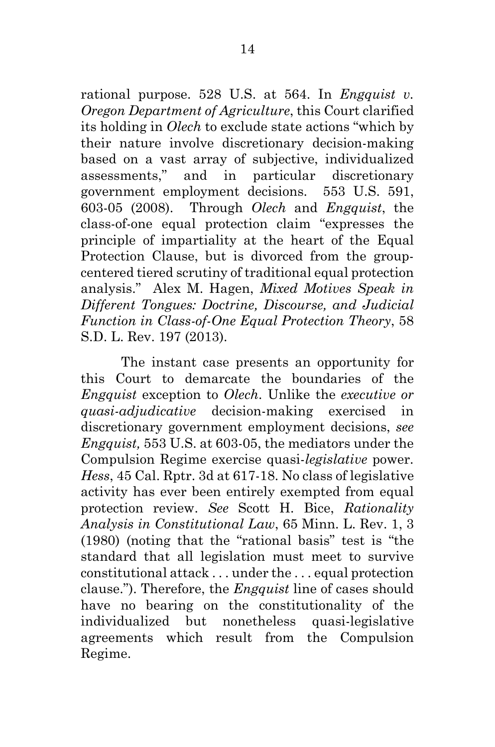rational purpose. 528 U.S. at 564. In *Engquist v. Oregon Department of Agriculture*, this Court clarified its holding in *Olech* to exclude state actions "which by their nature involve discretionary decision-making based on a vast array of subjective, individualized assessments," and in particular discretionary government employment decisions. 553 U.S. 591, 603-05 (2008). Through *Olech* and *Engquist*, the class-of-one equal protection claim "expresses the principle of impartiality at the heart of the Equal Protection Clause, but is divorced from the groupcentered tiered scrutiny of traditional equal protection analysis." Alex M. Hagen, *Mixed Motives Speak in Different Tongues: Doctrine, Discourse, and Judicial Function in Class-of-One Equal Protection Theory*, 58 S.D. L. Rev. 197 (2013).

The instant case presents an opportunity for this Court to demarcate the boundaries of the *Engquist* exception to *Olech*. Unlike the *executive or quasi-adjudicative* decision-making exercised in discretionary government employment decisions, *see Engquist,* 553 U.S. at 603-05, the mediators under the Compulsion Regime exercise quasi-*legislative* power. *Hess*, 45 Cal. Rptr. 3d at 617-18. No class of legislative activity has ever been entirely exempted from equal protection review. *See* Scott H. Bice, *Rationality Analysis in Constitutional Law*, 65 Minn. L. Rev. 1, 3 (1980) (noting that the "rational basis" test is "the standard that all legislation must meet to survive constitutional attack . . . under the . . . equal protection clause."). Therefore, the *Engquist* line of cases should have no bearing on the constitutionality of the individualized but nonetheless quasi-legislative agreements which result from the Compulsion Regime.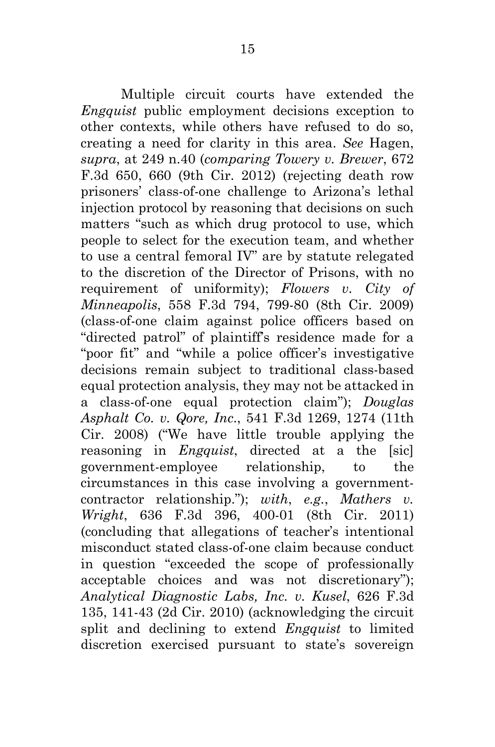Multiple circuit courts have extended the *Engquist* public employment decisions exception to other contexts, while others have refused to do so, creating a need for clarity in this area. *See* Hagen, *supra*, at 249 n.40 (*comparing Towery v. Brewer*, 672 F.3d 650, 660 (9th Cir. 2012) (rejecting death row prisoners' class-of-one challenge to Arizona's lethal injection protocol by reasoning that decisions on such matters "such as which drug protocol to use, which people to select for the execution team, and whether to use a central femoral IV" are by statute relegated to the discretion of the Director of Prisons, with no requirement of uniformity); *Flowers v. City of Minneapolis*, 558 F.3d 794, 799-80 (8th Cir. 2009) (class-of-one claim against police officers based on "directed patrol" of plaintiff's residence made for a "poor fit" and "while a police officer's investigative decisions remain subject to traditional class-based equal protection analysis, they may not be attacked in a class-of-one equal protection claim"); *Douglas Asphalt Co. v. Qore, Inc*., 541 F.3d 1269, 1274 (11th Cir. 2008) ("We have little trouble applying the reasoning in *Engquist*, directed at a the [sic] government-employee relationship, to the circumstances in this case involving a governmentcontractor relationship."); *with*, *e.g.*, *Mathers v. Wright*, 636 F.3d 396, 400-01 (8th Cir. 2011) (concluding that allegations of teacher's intentional misconduct stated class-of-one claim because conduct in question "exceeded the scope of professionally acceptable choices and was not discretionary"); *Analytical Diagnostic Labs, Inc. v. Kusel*, 626 F.3d 135, 141-43 (2d Cir. 2010) (acknowledging the circuit split and declining to extend *Engquist* to limited discretion exercised pursuant to state's sovereign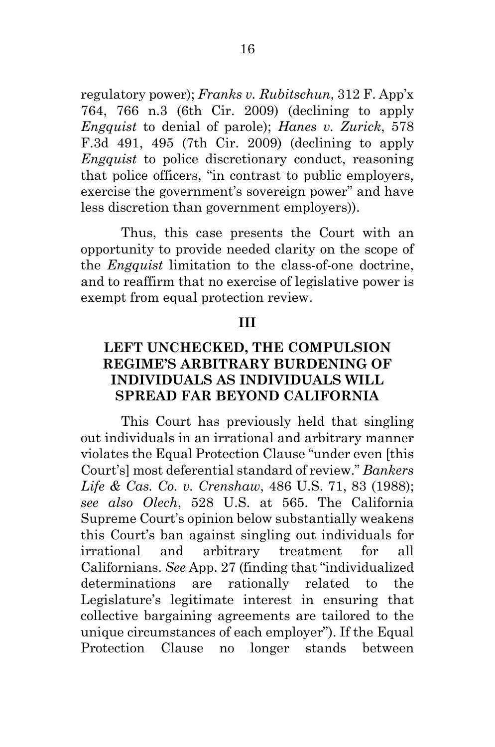regulatory power); *Franks v. Rubitschun*, 312 F. App'x 764, 766 n.3 (6th Cir. 2009) (declining to apply *Engquist* to denial of parole); *Hanes v. Zurick*, 578 F.3d 491, 495 (7th Cir. 2009) (declining to apply *Engquist* to police discretionary conduct, reasoning that police officers, "in contrast to public employers, exercise the government's sovereign power" and have less discretion than government employers)).

Thus, this case presents the Court with an opportunity to provide needed clarity on the scope of the *Engquist* limitation to the class-of-one doctrine, and to reaffirm that no exercise of legislative power is exempt from equal protection review.

#### **III**

### **LEFT UNCHECKED, THE COMPULSION REGIME'S ARBITRARY BURDENING OF INDIVIDUALS AS INDIVIDUALS WILL SPREAD FAR BEYOND CALIFORNIA**

This Court has previously held that singling out individuals in an irrational and arbitrary manner violates the Equal Protection Clause "under even [this Court's] most deferential standard of review." *Bankers Life & Cas. Co. v. Crenshaw*, 486 U.S. 71, 83 (1988); *see also Olech*, 528 U.S. at 565. The California Supreme Court's opinion below substantially weakens this Court's ban against singling out individuals for irrational and arbitrary treatment for all Californians. *See* App. 27 (finding that "individualized determinations are rationally related to the Legislature's legitimate interest in ensuring that collective bargaining agreements are tailored to the unique circumstances of each employer"). If the Equal Protection Clause no longer stands between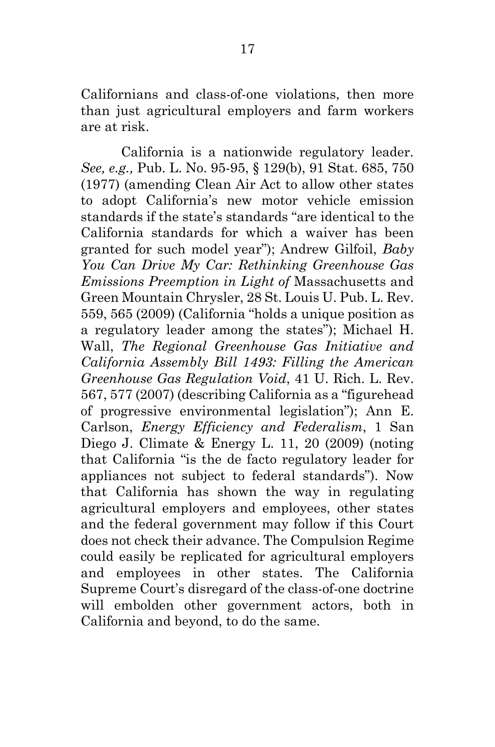Californians and class-of-one violations, then more than just agricultural employers and farm workers are at risk.

California is a nationwide regulatory leader. *See, e.g.,* Pub. L. No. 95-95, § 129(b), 91 Stat. 685, 750 (1977) (amending Clean Air Act to allow other states to adopt California's new motor vehicle emission standards if the state's standards "are identical to the California standards for which a waiver has been granted for such model year"); Andrew Gilfoil, *Baby You Can Drive My Car: Rethinking Greenhouse Gas Emissions Preemption in Light of* Massachusetts and Green Mountain Chrysler, 28 St. Louis U. Pub. L. Rev. 559, 565 (2009) (California "holds a unique position as a regulatory leader among the states"); Michael H. Wall, *The Regional Greenhouse Gas Initiative and California Assembly Bill 1493: Filling the American Greenhouse Gas Regulation Void*, 41 U. Rich. L. Rev. 567, 577 (2007) (describing California as a "figurehead of progressive environmental legislation"); Ann E. Carlson, *Energy Efficiency and Federalism*, 1 San Diego J. Climate & Energy L. 11, 20 (2009) (noting that California "is the de facto regulatory leader for appliances not subject to federal standards"). Now that California has shown the way in regulating agricultural employers and employees, other states and the federal government may follow if this Court does not check their advance. The Compulsion Regime could easily be replicated for agricultural employers and employees in other states. The California Supreme Court's disregard of the class-of-one doctrine will embolden other government actors, both in California and beyond, to do the same.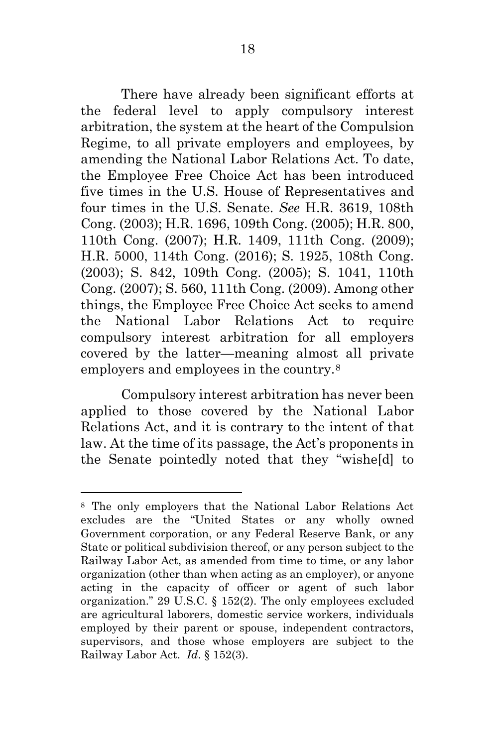There have already been significant efforts at the federal level to apply compulsory interest arbitration, the system at the heart of the Compulsion Regime, to all private employers and employees, by amending the National Labor Relations Act. To date, the Employee Free Choice Act has been introduced five times in the U.S. House of Representatives and four times in the U.S. Senate. *See* H.R. 3619, 108th Cong. (2003); H.R. 1696, 109th Cong. (2005); H.R. 800, 110th Cong. (2007); H.R. 1409, 111th Cong. (2009); H.R. 5000, 114th Cong. (2016); S. 1925, 108th Cong. (2003); S. 842, 109th Cong. (2005); S. 1041, 110th Cong. (2007); S. 560, 111th Cong. (2009). Among other things, the Employee Free Choice Act seeks to amend the National Labor Relations Act to require compulsory interest arbitration for all employers covered by the latter—meaning almost all private employers and employees in the country.[8](#page-26-0)

Compulsory interest arbitration has never been applied to those covered by the National Labor Relations Act, and it is contrary to the intent of that law. At the time of its passage, the Act's proponents in the Senate pointedly noted that they "wishe[d] to

 $\overline{a}$ 

<span id="page-26-0"></span><sup>8</sup> The only employers that the National Labor Relations Act excludes are the "United States or any wholly owned Government corporation, or any Federal Reserve Bank, or any State or political subdivision thereof, or any person subject to the Railway Labor Act, as amended from time to time, or any labor organization (other than when acting as an employer), or anyone acting in the capacity of officer or agent of such labor organization." 29 U.S.C. § 152(2). The only employees excluded are agricultural laborers, domestic service workers, individuals employed by their parent or spouse, independent contractors, supervisors, and those whose employers are subject to the Railway Labor Act. *Id*. § 152(3).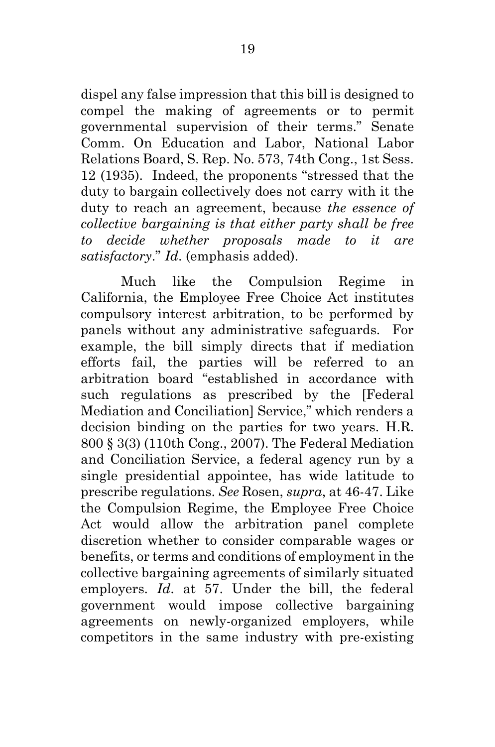dispel any false impression that this bill is designed to compel the making of agreements or to permit governmental supervision of their terms." Senate Comm. On Education and Labor, National Labor Relations Board, S. Rep. No. 573, 74th Cong., 1st Sess. 12 (1935). Indeed, the proponents "stressed that the duty to bargain collectively does not carry with it the duty to reach an agreement, because *the essence of collective bargaining is that either party shall be free to decide whether proposals made to it are satisfactory*." *Id*. (emphasis added).

Much like the Compulsion Regime in California, the Employee Free Choice Act institutes compulsory interest arbitration, to be performed by panels without any administrative safeguards. For example, the bill simply directs that if mediation efforts fail, the parties will be referred to an arbitration board "established in accordance with such regulations as prescribed by the [Federal Mediation and Conciliation] Service," which renders a decision binding on the parties for two years. H.R. 800 § 3(3) (110th Cong., 2007). The Federal Mediation and Conciliation Service, a federal agency run by a single presidential appointee, has wide latitude to prescribe regulations. *See* Rosen, *supra*, at 46-47. Like the Compulsion Regime, the Employee Free Choice Act would allow the arbitration panel complete discretion whether to consider comparable wages or benefits, or terms and conditions of employment in the collective bargaining agreements of similarly situated employers. *Id*. at 57. Under the bill, the federal government would impose collective bargaining agreements on newly-organized employers, while competitors in the same industry with pre-existing